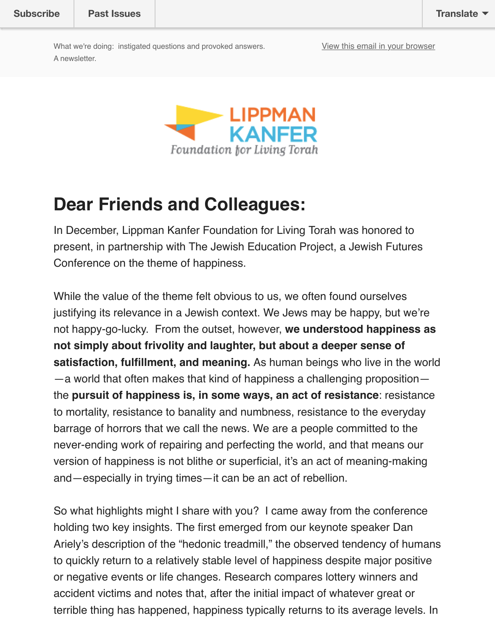

#### **Dear Friends and Colleagues:**

In December, Lippman Kanfer Foundation for Living Torah was honored to present, in partnership with The Jewish Education Project, a Jewish Futures Conference on the theme of happiness.

While the value of the theme felt obvious to us, we often found ourselves justifying its relevance in a Jewish context. We Jews may be happy, but we' not happy-go-lucky. From the outset, however, **we understood happiness as not simply about frivolity and laughter, but about a deeper sense of satisfaction, fulfillment, and meaning.** As human beings who live in the w —a world that often makes that kind of happiness a challenging proposition the **pursuit of happiness is, in some ways, an act of resistance**: resistance to mortality, resistance to banality and numbness, resistance to the everyda barrage of horrors that we call the news. We are a people committed to the never-ending work of repairing and perfecting the world, and that means our version of happiness is not blithe or superficial, it's an act of meaning-making and—especially in trying times—it can be an act of rebellion.

So what highlights might I share with you? I came away from the conference holding two key insights. The first emerged from our keynote speaker Dan Ariely's description of the "hedonic treadmill," the observed tendency of humans to quickly return to a relatively stable level of happiness despite major positi or negative events or life changes. Research compares lottery winners and accident victims and notes that, after the initial impact of whatever great or terrible thing has happened, happiness typically returns to its average levels.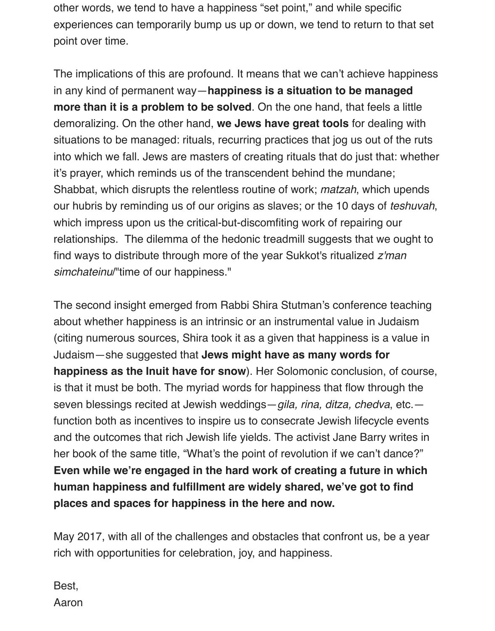other words, we tend to have a happiness "set point," and while specific experiences can temporarily bump us up or down, we tend to return to that set point over time.

The implications of this are profound. It means that we can't achieve happiness in any kind of permanent way—**happiness is a situation to be managed more than it is a problem to be solved**. On the one hand, that feels a little demoralizing. On the other hand, **we Jews have great tools** for dealing with situations to be managed: rituals, recurring practices that jog us out of the ruts into which we fall. Jews are masters of creating rituals that do just that: whether it's prayer, which reminds us of the transcendent behind the mundane; Shabbat, which disrupts the relentless routine of work; *matzah*, which upends our hubris by reminding us of our origins as slaves; or the 10 days of *teshuvah*, which impress upon us the critical-but-discomfiting work of repairing our relationships. The dilemma of the hedonic treadmill suggests that we ought to find ways to distribute through more of the year Sukkot's ritualized *z'man simchateinu*/"time of our happiness."

The second insight emerged from Rabbi Shira Stutman's conference teaching about whether happiness is an intrinsic or an instrumental value in Judaism (citing numerous sources, Shira took it as a given that happiness is a value in Judaism—she suggested that **Jews might have as many words for happiness as the Inuit have for snow**). Her Solomonic conclusion, of course, is that it must be both. The myriad words for happiness that flow through the seven blessings recited at Jewish weddings—*gila, rina, ditza, chedva*, etc. function both as incentives to inspire us to consecrate Jewish lifecycle events and the outcomes that rich Jewish life yields. The activist Jane Barry writes in her book of the same title, "What's the point of revolution if we can't dance?" **Even while we're engaged in the hard work of creating a future in which human happiness and fulfillment are widely shared, we've got to find places and spaces for happiness in the here and now.**

May 2017, with all of the challenges and obstacles that confront us, be a year rich with opportunities for celebration, joy, and happiness.

Best, Aaron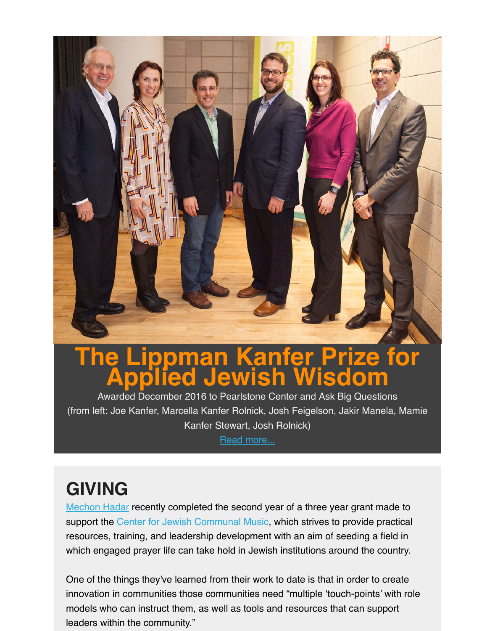

# **The Lippman Kanfer Prize for Applied Jewish Wisdom**

Awarded December 2016 to Pearlstone Center and Ask Big Questions (from left: Joe Kanfer, Marcella Kanfer Rolnick, Josh Feigelson, Jakir Manela, Mamie Kanfer Stewart, Josh Rolnick)

Read more...

## **GIVING**

Mechon Hadar recently completed the second year of a three year grant made to support the Center for Jewish Com[munal Music, w](http://lippmankanferprize.org/press-release-lippman-kanfer-prize-for-applied-jewish-wisdom-announces-winners/)hich strives to provide practical resources, training, and leadership development with an aim of seeding a field in which engaged prayer life can take hold in Jewish institutions around the country.

One of the things they've learned from their work to date is that in order to create [innovation in co](https://www.mechonhadar.org/)mmunities those communities need "multiple 'touch-points' with role models wh[o can instruct them, as well as tools a](https://www.mechonhadar.org/center-jewish-communal-music)nd resources that can support leaders within the community."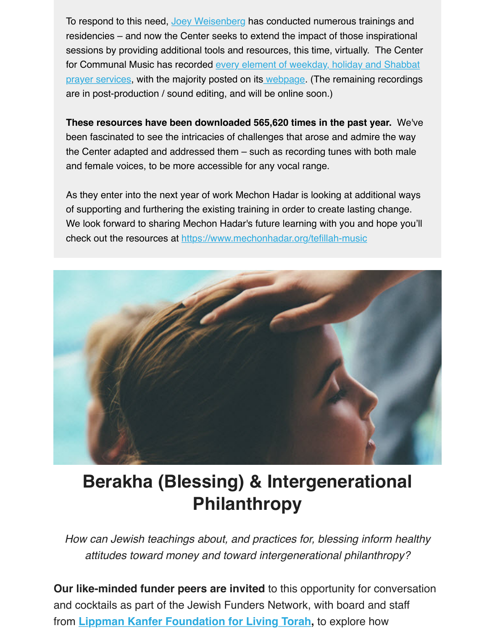are in post-production / sound editing, and will be online soon.)

**These resources have been downloaded 565,620 times in the past year.** We've been fascinated to see the intricacies of challenges that arose and admire the way [the Center adapted and addressed them – such as recording tunes with both male](https://www.mechonhadar.org/tefillah-music) and female voices, to be more accessible for [any vocal r](https://www.mechonhadar.org/tefillah-music)ange.

As they enter into the next year of work Mechon Hadar is looking at additional ways of supporting and furthering the existing training in order to create lasting change. We look forward to sharing Mechon Hadar's future learning with you and hope you'l check out the resources at https://www.mechonhadar.org/tefillah-music



### **Berakha (Blessing) & Intergenerational Philanthropy**

*How can Jewish teachings about, and practices for, blessing inform health attitudes toward money and toward intergenerational philanthropy?*

**Our like-minded funder peers are invited** to this opportunity for conversation and cocktails as part of the Jewish Funders Network, with board and staff from **Lippman Kanfer Foundation for Living Torah,** to explore how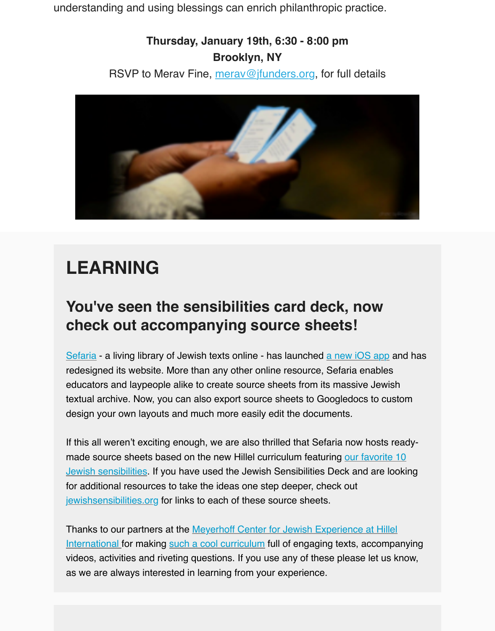

# **LEARNING**

#### **You've seen the sensibilities card deck, now check out accompanying source sheets!**

Sefaria - a living library of Jewish texts online - has launched a new iOS app and has redesigned its website. More than any other online resource, Sefaria enables educators and laypeople alike to create source sheets from its massive Jewish textual archive. Now, you can also export source sheets to Googledocs to custom design your own layouts and much more easily edit the documents.

[If this a](http://www.sefaria.org/)ll weren't exciting enough, we are also thrilled that Sef[aria now hosts](https://www.sefaria.org/ios) readymade source sheets based on the new Hillel curriculum featuring our favorite 10 Jewish sensibilities. If you have used the Jewish Sensibilities Deck and are looking for additional resources to take the ideas one step deeper, check out jewishsensibilities.org for links to each of these source sheets.

Thanks to our partners at the Meyerhoff Center for Jewish Experience at Hillel [International for making such a cool curriculum full of engaging texts, accompany](http://jewishsensibilities.org/)ing videos, activities and riveting questions. If you use any of these please let us know, as we are always interested in learning from your experience.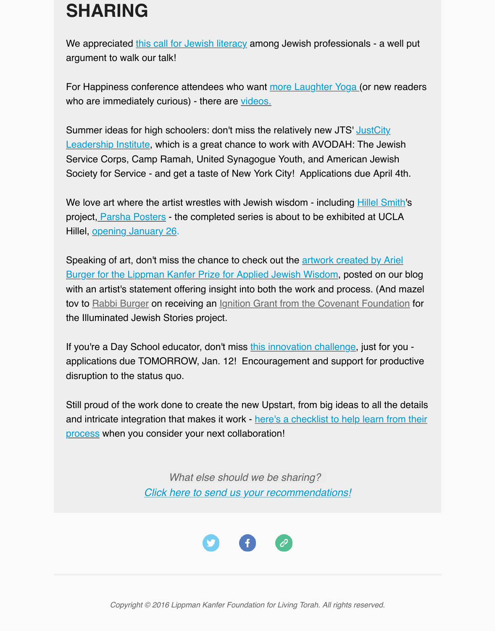For Happiness conference attendees who want <u>more Laughter Yoga (</u>or new reader who are immediately curious) - there are videos.

Summer ideas f[or high schoolers: don't mis](http://ejewishphilanthropy.com/jewish-literacy-for-jewish-professionals-why-we-need-to-speak-jewish/)s the relatively new JTS' JustCity Leadership Institute, which is a great chance to work with AVODAH: The Jewish Service Corps, Camp Ramah, United Synagogue Youth, and American Jewish Society for Service - and get a taste of New Yor[k City! Applications d](https://www.youtube.com/watch?v=W8NG4NYusgY)ue April 4th.

We love art where the artist wrestles with Jewish wisdom - including **Hillel Smith's** project, [Parsha Posters - the completed series is about to be exhibited at UC](http://www.jtsa.edu/justcity)LA Hillel, opening January 26.

Speaking of art, don't miss the chance to check out the artwork created by Ariel Burger for the Lippman Kanfer Prize for Applied Jewish Wisdom, posted on our blog with an artist's statement offering insight into both the work and proc[ess. \(And m](http://hillelsmith.info/)aze tov to [Rabbi Burger on r](http://hillelsmith.tumblr.com/tagged/parsha)eceiving an Ignition Grant from the Covenant Foundation for the Ill[uminated Jewish Sto](http://hillelsmith.tumblr.com/tagged/parsha)ries project.

[If you're a Day School educator, don't miss this innovation challenge, just for you](https://lkflt.wordpress.com/2016/12/14/artists-statement/) applications due TOMORROW, Jan. 12! Encouragement and support for productive disruption to the status quo.

Still proud of the work done to create the new Upstart, from big ideas to all the detaing and intricate integration that makes it work - here's a checklist to help learn from the process when you consider your next colla[boration!](http://www.jewishchallenge.org/day-school-educators-challenge/?platform=hootsuite)

> *What else should we be sharing? Click here to send us your recommendations!*